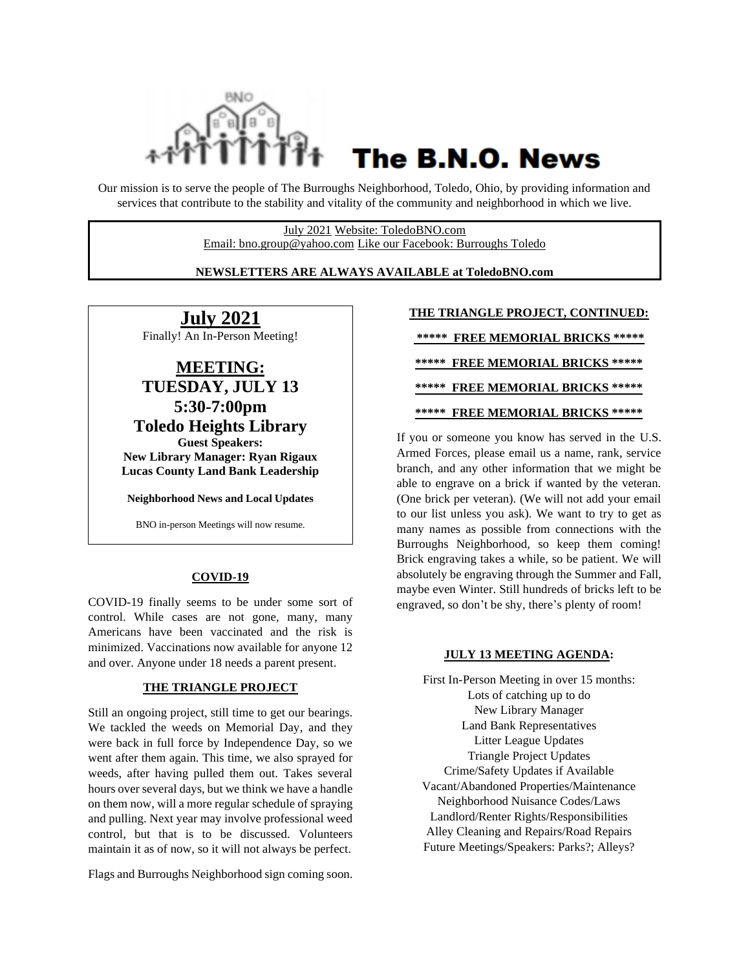

# The B.N.O. News

Our mission is to serve the people of The Burroughs Neighborhood, Toledo, Ohio, by providing information and services that contribute to the stability and vitality of the community and neighborhood in which we live.

> July 2021 Website: ToledoBNO.com Email: bno.group@yahoo.com Like our Facebook: Burroughs Toledo

#### **NEWSLETTERS ARE ALWAYS AVAILABLE at ToledoBNO.com**

**July 2021** Finally! An In-Person Meeting!

**MEETING: TUESDAY, JULY 13 5:30-7:00pm Toledo Heights Library Guest Speakers: New Library Manager: Ryan Rigaux Lucas County Land Bank Leadership**

**Neighborhood News and Local Updates**

BNO in-person Meetings will now resume.

#### **COVID-19**

COVID-19 finally seems to be under some sort of control. While cases are not gone, many, many Americans have been vaccinated and the risk is minimized. Vaccinations now available for anyone 12 and over. Anyone under 18 needs a parent present.

#### **THE TRIANGLE PROJECT**

Still an ongoing project, still time to get our bearings. We tackled the weeds on Memorial Day, and they were back in full force by Independence Day, so we went after them again. This time, we also sprayed for weeds, after having pulled them out. Takes several hours over several days, but we think we have a handle on them now, will a more regular schedule of spraying and pulling. Next year may involve professional weed control, but that is to be discussed. Volunteers maintain it as of now, so it will not always be perfect.

Flags and Burroughs Neighborhood sign coming soon.

#### **THE TRIANGLE PROJECT, CONTINUED:**

**\*\*\*\*\* FREE MEMORIAL BRICKS \*\*\*\*\* \*\*\*\*\* FREE MEMORIAL BRICKS \*\*\*\*\* \*\*\*\*\* FREE MEMORIAL BRICKS \*\*\*\*\* \*\*\*\*\* FREE MEMORIAL BRICKS \*\*\*\*\***

If you or someone you know has served in the U.S. Armed Forces, please email us a name, rank, service branch, and any other information that we might be able to engrave on a brick if wanted by the veteran. (One brick per veteran). (We will not add your email to our list unless you ask). We want to try to get as many names as possible from connections with the Burroughs Neighborhood, so keep them coming! Brick engraving takes a while, so be patient. We will absolutely be engraving through the Summer and Fall, maybe even Winter. Still hundreds of bricks left to be engraved, so don't be shy, there's plenty of room!

#### **JULY 13 MEETING AGENDA:**

First In-Person Meeting in over 15 months: Lots of catching up to do New Library Manager Land Bank Representatives Litter League Updates Triangle Project Updates Crime/Safety Updates if Available Vacant/Abandoned Properties/Maintenance Neighborhood Nuisance Codes/Laws Landlord/Renter Rights/Responsibilities Alley Cleaning and Repairs/Road Repairs Future Meetings/Speakers: Parks?; Alleys?